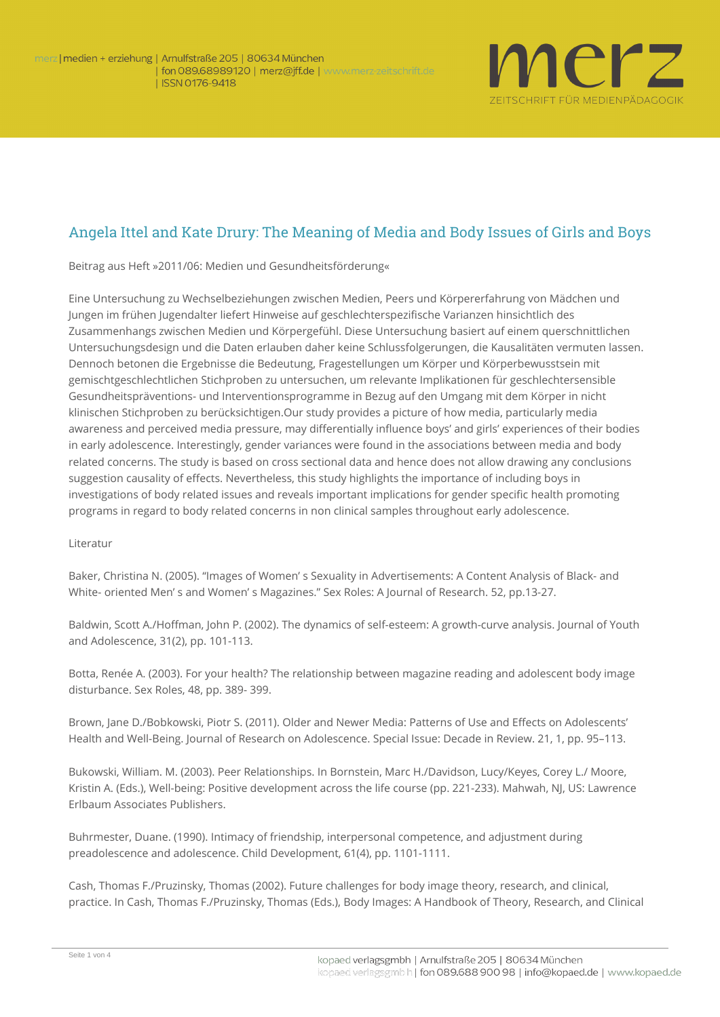

## Angela Ittel and Kate Drury: The Meaning of Media and Body Issues of Girls and Boys

**Beitrag aus Heft »2011/06: Medien und Gesundheitsförderung«**

Eine Untersuchung zu Wechselbeziehungen zwischen Medien, Peers und Körpererfahrung von Mädchen und Jungen im frühen Jugendalter liefert Hinweise auf geschlechterspezifische Varianzen hinsichtlich des Zusammenhangs zwischen Medien und Körpergefühl. Diese Untersuchung basiert auf einem querschnittlichen Untersuchungsdesign und die Daten erlauben daher keine Schlussfolgerungen, die Kausalitäten vermuten lassen. Dennoch betonen die Ergebnisse die Bedeutung, Fragestellungen um Körper und Körperbewusstsein mit gemischtgeschlechtlichen Stichproben zu untersuchen, um relevante Implikationen für geschlechtersensible Gesundheitspräventions- und Interventionsprogramme in Bezug auf den Umgang mit dem Körper in nicht klinischen Stichproben zu berücksichtigen.Our study provides a picture of how media, particularly media awareness and perceived media pressure, may differentially influence boys' and girls' experiences of their bodies in early adolescence. Interestingly, gender variances were found in the associations between media and body related concerns. The study is based on cross sectional data and hence does not allow drawing any conclusions suggestion causality of effects. Nevertheless, this study highlights the importance of including boys in investigations of body related issues and reveals important implications for gender specific health promoting programs in regard to body related concerns in non clinical samples throughout early adolescence.

## **Literatur**

Baker, Christina N. (2005). "Images of Women' s Sexuality in Advertisements: A Content Analysis of Black- and White- oriented Men' s and Women' s Magazines." Sex Roles: A Journal of Research. 52, pp.13-27.

Baldwin, Scott A./Hoffman, John P. (2002). The dynamics of self-esteem: A growth-curve analysis. Journal of Youth and Adolescence, 31(2), pp. 101-113.

Botta, Renée A. (2003). For your health? The relationship between magazine reading and adolescent body image disturbance. Sex Roles, 48, pp. 389- 399.

Brown, Jane D./Bobkowski, Piotr S. (2011). Older and Newer Media: Patterns of Use and Effects on Adolescents' Health and Well-Being. Journal of Research on Adolescence. Special Issue: Decade in Review. 21, 1, pp. 95–113.

Bukowski, William. M. (2003). Peer Relationships. In Bornstein, Marc H./Davidson, Lucy/Keyes, Corey L./ Moore, Kristin A. (Eds.), Well-being: Positive development across the life course (pp. 221-233). Mahwah, NJ, US: Lawrence Erlbaum Associates Publishers.

Buhrmester, Duane. (1990). Intimacy of friendship, interpersonal competence, and adjustment during preadolescence and adolescence. Child Development, 61(4), pp. 1101-1111.

Cash, Thomas F./Pruzinsky, Thomas (2002). Future challenges for body image theory, research, and clinical, practice. In Cash, Thomas F./Pruzinsky, Thomas (Eds.), Body Images: A Handbook of Theory, Research, and Clinical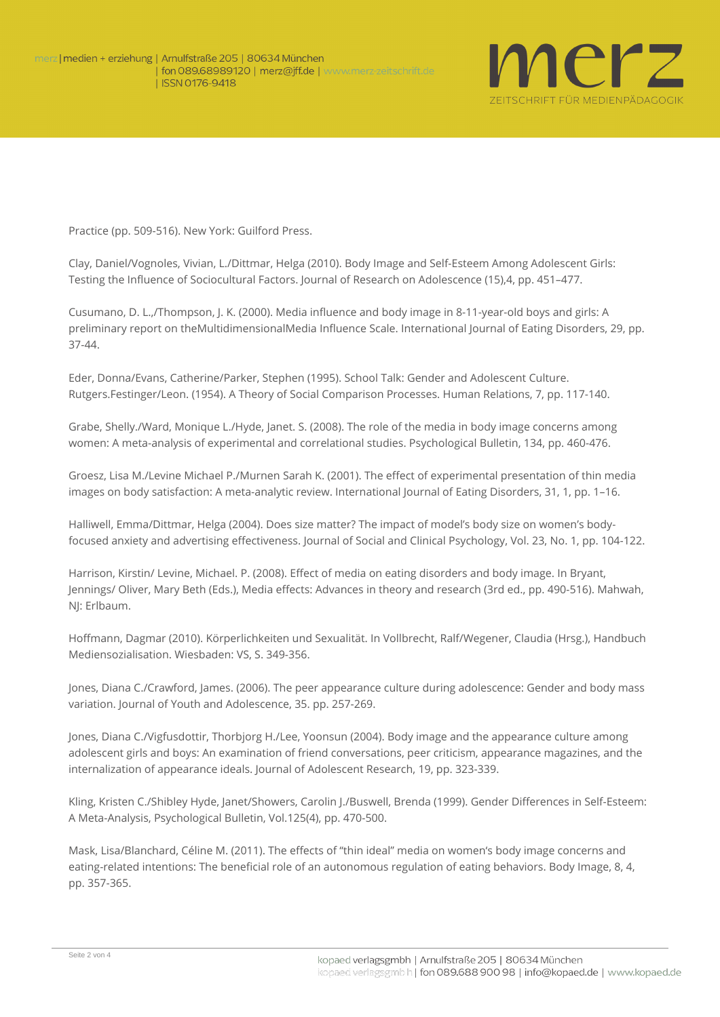

Practice (pp. 509-516). New York: Guilford Press.

Clay, Daniel/Vognoles, Vivian, L./Dittmar, Helga (2010). Body Image and Self-Esteem Among Adolescent Girls: Testing the Influence of Sociocultural Factors. Journal of Research on Adolescence (15),4, pp. 451–477.

Cusumano, D. L.,/Thompson, J. K. (2000). Media influence and body image in 8-11-year-old boys and girls: A preliminary report on theMultidimensionalMedia Influence Scale. International Journal of Eating Disorders, 29, pp. 37-44.

Eder, Donna/Evans, Catherine/Parker, Stephen (1995). School Talk: Gender and Adolescent Culture. Rutgers.Festinger/Leon. (1954). A Theory of Social Comparison Processes. Human Relations, 7, pp. 117-140.

Grabe, Shelly./Ward, Monique L./Hyde, Janet. S. (2008). The role of the media in body image concerns among women: A meta-analysis of experimental and correlational studies. Psychological Bulletin, 134, pp. 460-476.

Groesz, Lisa M./Levine Michael P./Murnen Sarah K. (2001). The effect of experimental presentation of thin media images on body satisfaction: A meta-analytic review. International Journal of Eating Disorders, 31, 1, pp. 1–16.

Halliwell, Emma/Dittmar, Helga (2004). Does size matter? The impact of model's body size on women's bodyfocused anxiety and advertising effectiveness. Journal of Social and Clinical Psychology, Vol. 23, No. 1, pp. 104-122.

Harrison, Kirstin/ Levine, Michael. P. (2008). Effect of media on eating disorders and body image. In Bryant, Jennings/ Oliver, Mary Beth (Eds.), Media effects: Advances in theory and research (3rd ed., pp. 490-516). Mahwah, NJ: Erlbaum.

Hoffmann, Dagmar (2010). Körperlichkeiten und Sexualität. In Vollbrecht, Ralf/Wegener, Claudia (Hrsg.), Handbuch Mediensozialisation. Wiesbaden: VS, S. 349-356.

Jones, Diana C./Crawford, James. (2006). The peer appearance culture during adolescence: Gender and body mass variation. Journal of Youth and Adolescence, 35. pp. 257-269.

Jones, Diana C./Vigfusdottir, Thorbjorg H./Lee, Yoonsun (2004). Body image and the appearance culture among adolescent girls and boys: An examination of friend conversations, peer criticism, appearance magazines, and the internalization of appearance ideals. Journal of Adolescent Research, 19, pp. 323-339.

Kling, Kristen C./Shibley Hyde, Janet/Showers, Carolin J./Buswell, Brenda (1999). Gender Differences in Self-Esteem: A Meta-Analysis, Psychological Bulletin, Vol.125(4), pp. 470-500.

Mask, Lisa/Blanchard, Céline M. (2011). The effects of "thin ideal" media on women's body image concerns and eating-related intentions: The beneficial role of an autonomous regulation of eating behaviors. Body Image, 8, 4, pp. 357-365.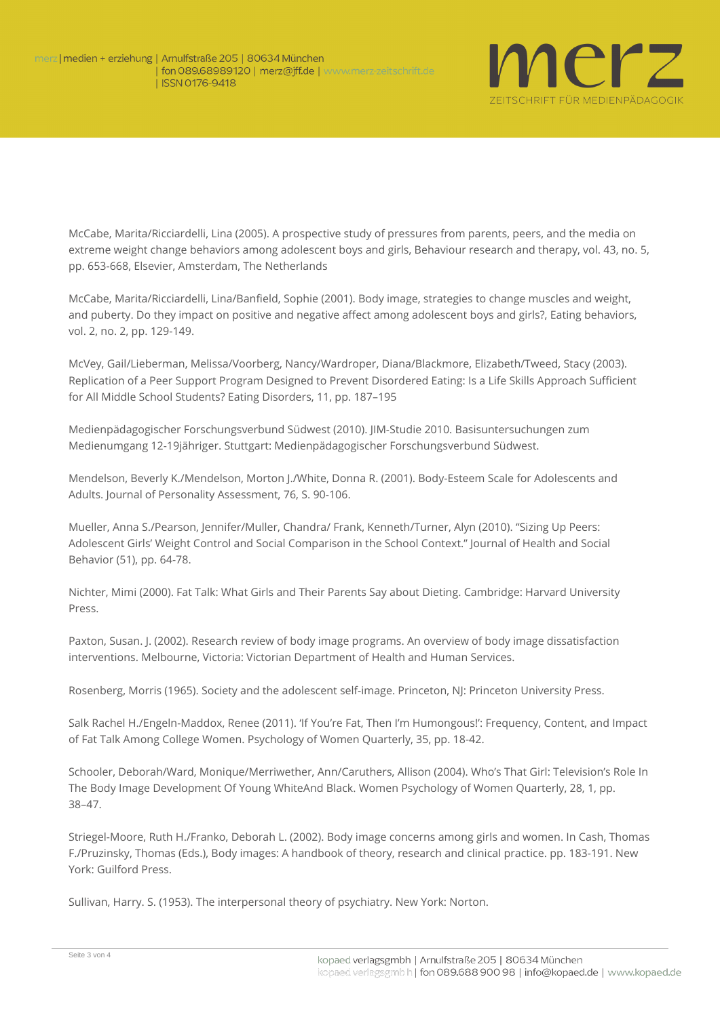

McCabe, Marita/Ricciardelli, Lina (2005). A prospective study of pressures from parents, peers, and the media on extreme weight change behaviors among adolescent boys and girls, Behaviour research and therapy, vol. 43, no. 5, pp. 653-668, Elsevier, Amsterdam, The Netherlands

McCabe, Marita/Ricciardelli, Lina/Banfield, Sophie (2001). Body image, strategies to change muscles and weight, and puberty. Do they impact on positive and negative affect among adolescent boys and girls?, Eating behaviors, vol. 2, no. 2, pp. 129-149.

McVey, Gail/Lieberman, Melissa/Voorberg, Nancy/Wardroper, Diana/Blackmore, Elizabeth/Tweed, Stacy (2003). Replication of a Peer Support Program Designed to Prevent Disordered Eating: Is a Life Skills Approach Sufficient for All Middle School Students? Eating Disorders, 11, pp. 187–195

Medienpädagogischer Forschungsverbund Südwest (2010). JIM-Studie 2010. Basisuntersuchungen zum Medienumgang 12-19jähriger. Stuttgart: Medienpädagogischer Forschungsverbund Südwest.

Mendelson, Beverly K./Mendelson, Morton J./White, Donna R. (2001). Body-Esteem Scale for Adolescents and Adults. Journal of Personality Assessment, 76, S. 90-106.

Mueller, Anna S./Pearson, Jennifer/Muller, Chandra/ Frank, Kenneth/Turner, Alyn (2010). "Sizing Up Peers: Adolescent Girls' Weight Control and Social Comparison in the School Context." Journal of Health and Social Behavior (51), pp. 64-78.

Nichter, Mimi (2000). Fat Talk: What Girls and Their Parents Say about Dieting. Cambridge: Harvard University Press.

Paxton, Susan. J. (2002). Research review of body image programs. An overview of body image dissatisfaction interventions. Melbourne, Victoria: Victorian Department of Health and Human Services.

Rosenberg, Morris (1965). Society and the adolescent self-image. Princeton, NJ: Princeton University Press.

Salk Rachel H./Engeln-Maddox, Renee (2011). 'If You're Fat, Then I'm Humongous!': Frequency, Content, and Impact of Fat Talk Among College Women. Psychology of Women Quarterly, 35, pp. 18-42.

Schooler, Deborah/Ward, Monique/Merriwether, Ann/Caruthers, Allison (2004). Who's That Girl: Television's Role In The Body Image Development Of Young WhiteAnd Black. Women Psychology of Women Quarterly, 28, 1, pp. 38–47.

Striegel-Moore, Ruth H./Franko, Deborah L. (2002). Body image concerns among girls and women. In Cash, Thomas F./Pruzinsky, Thomas (Eds.), Body images: A handbook of theory, research and clinical practice. pp. 183-191. New York: Guilford Press.

Sullivan, Harry. S. (1953). The interpersonal theory of psychiatry. New York: Norton.